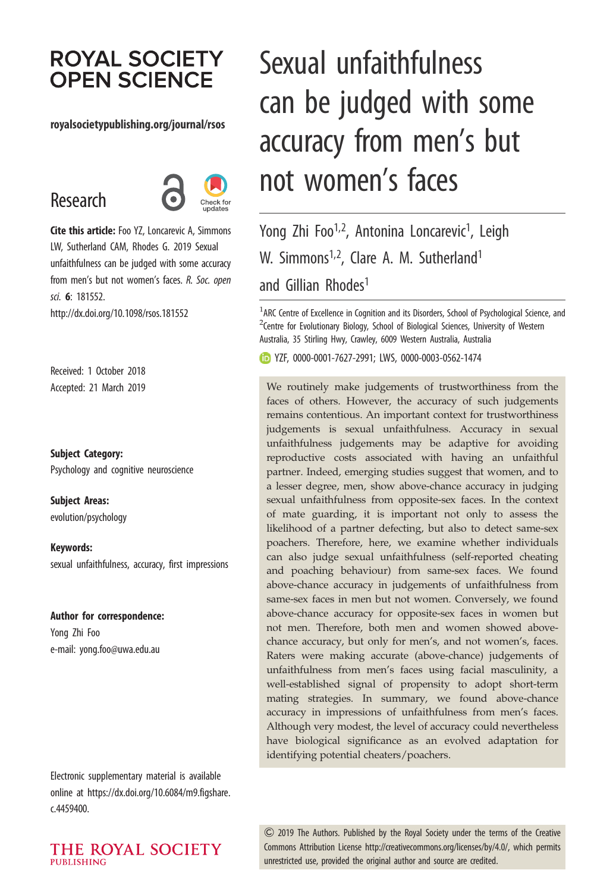# **ROYAL SOCIETY OPEN SCIENCE**

#### royalsocietypublishing.org/journal/rsos

# Research



Cite this article: Foo YZ, Loncarevic A, Simmons LW, Sutherland CAM, Rhodes G. 2019 Sexual unfaithfulness can be judged with some accuracy from men's but not women's faces. R. Soc. open sci. 6: 181552. http://dx.doi.org/10.1098/rsos.181552

Received: 1 October 2018 Accepted: 21 March 2019

Subject Category: Psychology and cognitive neuroscience

Subject Areas:

evolution/psychology

Keywords: sexual unfaithfulness, accuracy, first impressions

#### Author for correspondence:

Yong Zhi Foo e-mail: [yong.foo@uwa.edu.au](mailto:yong.foo@uwa.edu.au)

Electronic supplementary material is available online at [https://dx.doi.org/10.6084/m9.figshare.](https://dx.doi.org/10.6084/m9.figshare.c.4459400) [c.4459400.](https://dx.doi.org/10.6084/m9.figshare.c.4459400)

### THE ROYAL SOCIETY PURLISHING

# Sexual unfaithfulness can be judged with some accuracy from men's but not women's faces

Yong Zhi Foo<sup>1,2</sup>, Antonina Loncarevic<sup>1</sup>, Leigh W. Simmons<sup>1,2</sup>, Clare A. M. Sutherland<sup>1</sup> and Gillian Rhodes<sup>1</sup>

 $<sup>1</sup>$ ARC Centre of Excellence in Cognition and its Disorders, School of Psychological Science, and</sup>  $2$ Centre for Evolutionary Biology, School of Biological Sciences, University of Western Australia, 35 Stirling Hwy, Crawley, 6009 Western Australia, Australia

YZF, [0000-0001-7627-2991;](http://orcid.org/0000-0001-7627-2991) LWS, [0000-0003-0562-1474](http://orcid.org/0000-0003-0562-1474)

We routinely make judgements of trustworthiness from the faces of others. However, the accuracy of such judgements remains contentious. An important context for trustworthiness judgements is sexual unfaithfulness. Accuracy in sexual unfaithfulness judgements may be adaptive for avoiding reproductive costs associated with having an unfaithful partner. Indeed, emerging studies suggest that women, and to a lesser degree, men, show above-chance accuracy in judging sexual unfaithfulness from opposite-sex faces. In the context of mate guarding, it is important not only to assess the likelihood of a partner defecting, but also to detect same-sex poachers. Therefore, here, we examine whether individuals can also judge sexual unfaithfulness (self-reported cheating and poaching behaviour) from same-sex faces. We found above-chance accuracy in judgements of unfaithfulness from same-sex faces in men but not women. Conversely, we found above-chance accuracy for opposite-sex faces in women but not men. Therefore, both men and women showed abovechance accuracy, but only for men's, and not women's, faces. Raters were making accurate (above-chance) judgements of unfaithfulness from men's faces using facial masculinity, a well-established signal of propensity to adopt short-term mating strategies. In summary, we found above-chance accuracy in impressions of unfaithfulness from men's faces. Although very modest, the level of accuracy could nevertheless have biological significance as an evolved adaptation for identifying potential cheaters/poachers.

& 2019 The Authors. Published by the Royal Society under the terms of the Creative Commons Attribution License [http://creativecommons.org/licenses/by/4.0/, which permits](http://creativecommons.org/licenses/by/4.0/) [unrestricted use, provided the original author and source are credited.](http://creativecommons.org/licenses/by/4.0/)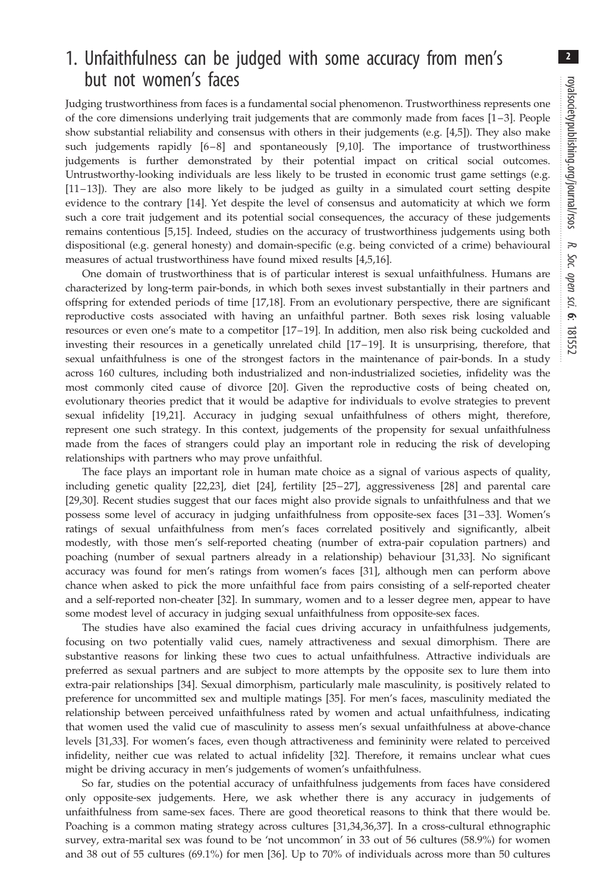2

# 1. Unfaithfulness can be judged with some accuracy from men's but not women's faces

Judging trustworthiness from faces is a fundamental social phenomenon. Trustworthiness represents one of the core dimensions underlying trait judgements that are commonly made from faces [[1](#page-11-0) –[3\]](#page-11-0). People show substantial reliability and consensus with others in their judgements (e.g. [\[4,5](#page-11-0)]). They also make such judgements rapidly [[6](#page-11-0)-[8](#page-11-0)] and spontaneously [[9](#page-11-0),[10\]](#page-11-0). The importance of trustworthiness judgements is further demonstrated by their potential impact on critical social outcomes. Untrustworthy-looking individuals are less likely to be trusted in economic trust game settings (e.g. [\[11](#page-11-0)– [13\]](#page-11-0)). They are also more likely to be judged as guilty in a simulated court setting despite evidence to the contrary [\[14](#page-11-0)]. Yet despite the level of consensus and automaticity at which we form such a core trait judgement and its potential social consequences, the accuracy of these judgements remains contentious [\[5,15](#page-11-0)]. Indeed, studies on the accuracy of trustworthiness judgements using both dispositional (e.g. general honesty) and domain-specific (e.g. being convicted of a crime) behavioural measures of actual trustworthiness have found mixed results [[4,5,16](#page-11-0)].

One domain of trustworthiness that is of particular interest is sexual unfaithfulness. Humans are characterized by long-term pair-bonds, in which both sexes invest substantially in their partners and offspring for extended periods of time [[17,18\]](#page-11-0). From an evolutionary perspective, there are significant reproductive costs associated with having an unfaithful partner. Both sexes risk losing valuable resources or even one's mate to a competitor [\[17](#page-11-0)–[19\]](#page-11-0). In addition, men also risk being cuckolded and investing their resources in a genetically unrelated child [[17](#page-11-0)–[19](#page-11-0)]. It is unsurprising, therefore, that sexual unfaithfulness is one of the strongest factors in the maintenance of pair-bonds. In a study across 160 cultures, including both industrialized and non-industrialized societies, infidelity was the most commonly cited cause of divorce [[20\]](#page-11-0). Given the reproductive costs of being cheated on, evolutionary theories predict that it would be adaptive for individuals to evolve strategies to prevent sexual infidelity [[19,21](#page-11-0)]. Accuracy in judging sexual unfaithfulness of others might, therefore, represent one such strategy. In this context, judgements of the propensity for sexual unfaithfulness made from the faces of strangers could play an important role in reducing the risk of developing relationships with partners who may prove unfaithful.

The face plays an important role in human mate choice as a signal of various aspects of quality, including genetic quality [[22](#page-11-0),[23\]](#page-11-0), diet [\[24](#page-11-0)], fertility [\[25](#page-11-0) –[27](#page-11-0)], aggressiveness [\[28](#page-11-0)] and parental care [\[29](#page-11-0),[30\]](#page-11-0). Recent studies suggest that our faces might also provide signals to unfaithfulness and that we possess some level of accuracy in judging unfaithfulness from opposite-sex faces [[31](#page-12-0)–[33](#page-12-0)]. Women's ratings of sexual unfaithfulness from men's faces correlated positively and significantly, albeit modestly, with those men's self-reported cheating (number of extra-pair copulation partners) and poaching (number of sexual partners already in a relationship) behaviour [\[31](#page-12-0),[33\]](#page-12-0). No significant accuracy was found for men's ratings from women's faces [\[31](#page-12-0)], although men can perform above chance when asked to pick the more unfaithful face from pairs consisting of a self-reported cheater and a self-reported non-cheater [\[32](#page-12-0)]. In summary, women and to a lesser degree men, appear to have some modest level of accuracy in judging sexual unfaithfulness from opposite-sex faces.

The studies have also examined the facial cues driving accuracy in unfaithfulness judgements, focusing on two potentially valid cues, namely attractiveness and sexual dimorphism. There are substantive reasons for linking these two cues to actual unfaithfulness. Attractive individuals are preferred as sexual partners and are subject to more attempts by the opposite sex to lure them into extra-pair relationships [\[34](#page-12-0)]. Sexual dimorphism, particularly male masculinity, is positively related to preference for uncommitted sex and multiple matings [\[35](#page-12-0)]. For men's faces, masculinity mediated the relationship between perceived unfaithfulness rated by women and actual unfaithfulness, indicating that women used the valid cue of masculinity to assess men's sexual unfaithfulness at above-chance levels [[31,33](#page-12-0)]. For women's faces, even though attractiveness and femininity were related to perceived infidelity, neither cue was related to actual infidelity [[32](#page-12-0)]. Therefore, it remains unclear what cues might be driving accuracy in men's judgements of women's unfaithfulness.

So far, studies on the potential accuracy of unfaithfulness judgements from faces have considered only opposite-sex judgements. Here, we ask whether there is any accuracy in judgements of unfaithfulness from same-sex faces. There are good theoretical reasons to think that there would be. Poaching is a common mating strategy across cultures [\[31](#page-12-0),[34,36,37](#page-12-0)]. In a cross-cultural ethnographic survey, extra-marital sex was found to be 'not uncommon' in 33 out of 56 cultures (58.9%) for women and 38 out of 55 cultures (69.1%) for men [[36\]](#page-12-0). Up to 70% of individuals across more than 50 cultures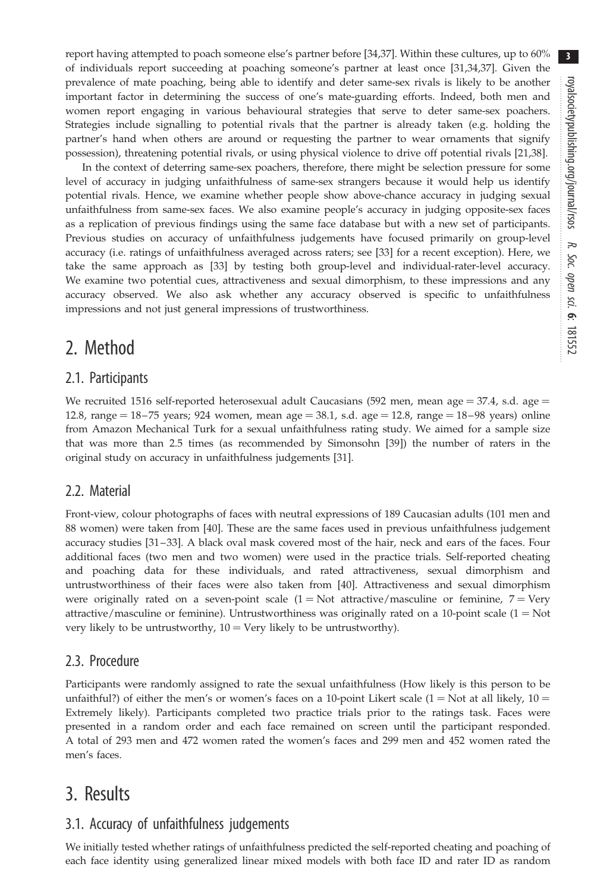report having attempted to poach someone else's partner before [\[34](#page-12-0),[37\]](#page-12-0). Within these cultures, up to 60% of individuals report succeeding at poaching someone's partner at least once [[31,34,37](#page-12-0)]. Given the prevalence of mate poaching, being able to identify and deter same-sex rivals is likely to be another important factor in determining the success of one's mate-guarding efforts. Indeed, both men and women report engaging in various behavioural strategies that serve to deter same-sex poachers. Strategies include signalling to potential rivals that the partner is already taken (e.g. holding the partner's hand when others are around or requesting the partner to wear ornaments that signify possession), threatening potential rivals, or using physical violence to drive off potential rivals [\[21](#page-11-0)[,38](#page-12-0)].

In the context of deterring same-sex poachers, therefore, there might be selection pressure for some level of accuracy in judging unfaithfulness of same-sex strangers because it would help us identify potential rivals. Hence, we examine whether people show above-chance accuracy in judging sexual unfaithfulness from same-sex faces. We also examine people's accuracy in judging opposite-sex faces as a replication of previous findings using the same face database but with a new set of participants. Previous studies on accuracy of unfaithfulness judgements have focused primarily on group-level accuracy (i.e. ratings of unfaithfulness averaged across raters; see [\[33](#page-12-0)] for a recent exception). Here, we take the same approach as [[33\]](#page-12-0) by testing both group-level and individual-rater-level accuracy. We examine two potential cues, attractiveness and sexual dimorphism, to these impressions and any accuracy observed. We also ask whether any accuracy observed is specific to unfaithfulness impressions and not just general impressions of trustworthiness.

# 2. Method

## 2.1. Participants

We recruited 1516 self-reported heterosexual adult Caucasians (592 men, mean age  $= 37.4$ , s.d. age  $=$ 12.8, range =  $18-75$  years; 924 women, mean age =  $38.1$ , s.d. age =  $12.8$ , range =  $18-98$  years) online from Amazon Mechanical Turk for a sexual unfaithfulness rating study. We aimed for a sample size that was more than 2.5 times (as recommended by Simonsohn [[39\]](#page-12-0)) the number of raters in the original study on accuracy in unfaithfulness judgements [[31\]](#page-12-0).

## 2.2. Material

Front-view, colour photographs of faces with neutral expressions of 189 Caucasian adults (101 men and 88 women) were taken from [\[40](#page-12-0)]. These are the same faces used in previous unfaithfulness judgement accuracy studies [\[31](#page-12-0) –[33](#page-12-0)]. A black oval mask covered most of the hair, neck and ears of the faces. Four additional faces (two men and two women) were used in the practice trials. Self-reported cheating and poaching data for these individuals, and rated attractiveness, sexual dimorphism and untrustworthiness of their faces were also taken from [[40\]](#page-12-0). Attractiveness and sexual dimorphism were originally rated on a seven-point scale  $(1 = Not attractive/masculine or feminine, 7 = Very$ attractive/masculine or feminine). Untrustworthiness was originally rated on a 10-point scale  $(1 = Not$ very likely to be untrustworthy,  $10 = \text{Very}$  likely to be untrustworthy).

## 2.3. Procedure

Participants were randomly assigned to rate the sexual unfaithfulness (How likely is this person to be unfaithful?) of either the men's or women's faces on a 10-point Likert scale (1 = Not at all likely, 10 = Extremely likely). Participants completed two practice trials prior to the ratings task. Faces were presented in a random order and each face remained on screen until the participant responded. A total of 293 men and 472 women rated the women's faces and 299 men and 452 women rated the men's faces.

## 3. Results

## 3.1. Accuracy of unfaithfulness judgements

We initially tested whether ratings of unfaithfulness predicted the self-reported cheating and poaching of each face identity using generalized linear mixed models with both face ID and rater ID as random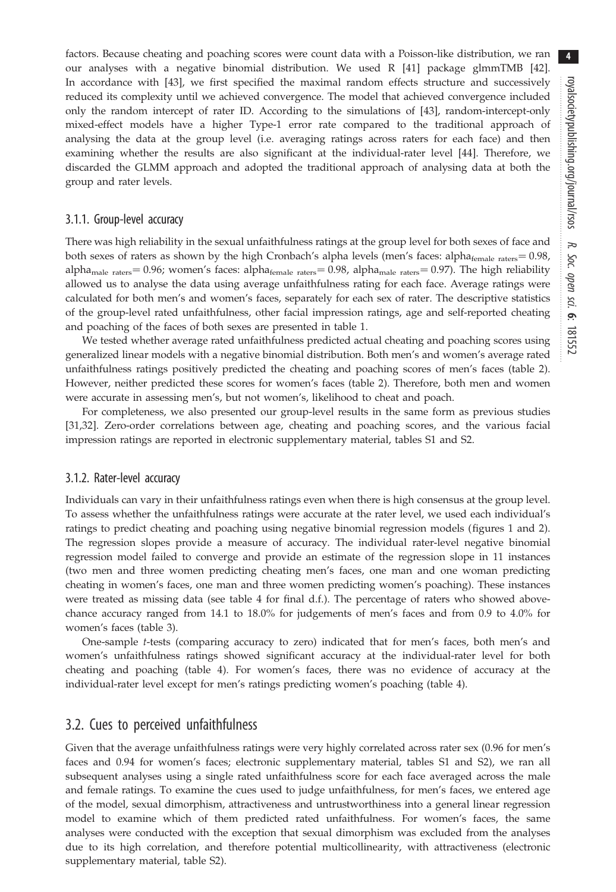factors. Because cheating and poaching scores were count data with a Poisson-like distribution, we ran our analyses with a negative binomial distribution. We used R [\[41](#page-12-0)] package glmmTMB [\[42](#page-12-0)]. In accordance with [[43](#page-12-0)], we first specified the maximal random effects structure and successively reduced its complexity until we achieved convergence. The model that achieved convergence included only the random intercept of rater ID. According to the simulations of [\[43](#page-12-0)], random-intercept-only mixed-effect models have a higher Type-1 error rate compared to the traditional approach of analysing the data at the group level (i.e. averaging ratings across raters for each face) and then examining whether the results are also significant at the individual-rater level [\[44](#page-12-0)]. Therefore, we discarded the GLMM approach and adopted the traditional approach of analysing data at both the group and rater levels.

#### 3.1.1. Group-level accuracy

There was high reliability in the sexual unfaithfulness ratings at the group level for both sexes of face and both sexes of raters as shown by the high Cronbach's alpha levels (men's faces: alpha<sub>female raters</sub> = 0.98, alpha<sub>male raters</sub> = 0.96; women's faces: alpha<sub>female raters</sub> = 0.98, alpha<sub>male raters</sub> = 0.97). The high reliability allowed us to analyse the data using average unfaithfulness rating for each face. Average ratings were calculated for both men's and women's faces, separately for each sex of rater. The descriptive statistics of the group-level rated unfaithfulness, other facial impression ratings, age and self-reported cheating and poaching of the faces of both sexes are presented in [table 1.](#page-4-0)

We tested whether average rated unfaithfulness predicted actual cheating and poaching scores using generalized linear models with a negative binomial distribution. Both men's and women's average rated unfaithfulness ratings positively predicted the cheating and poaching scores of men's faces ([table 2](#page-5-0)). However, neither predicted these scores for women's faces [\(table 2](#page-5-0)). Therefore, both men and women were accurate in assessing men's, but not women's, likelihood to cheat and poach.

For completeness, we also presented our group-level results in the same form as previous studies [\[31](#page-12-0),[32\]](#page-12-0). Zero-order correlations between age, cheating and poaching scores, and the various facial impression ratings are reported in electronic supplementary material, tables S1 and S2.

#### 3.1.2. Rater-level accuracy

Individuals can vary in their unfaithfulness ratings even when there is high consensus at the group level. To assess whether the unfaithfulness ratings were accurate at the rater level, we used each individual's ratings to predict cheating and poaching using negative binomial regression models (figures [1](#page-6-0) and [2](#page-7-0)). The regression slopes provide a measure of accuracy. The individual rater-level negative binomial regression model failed to converge and provide an estimate of the regression slope in 11 instances (two men and three women predicting cheating men's faces, one man and one woman predicting cheating in women's faces, one man and three women predicting women's poaching). These instances were treated as missing data (see [table 4](#page-8-0) for final d.f.). The percentage of raters who showed abovechance accuracy ranged from 14.1 to 18.0% for judgements of men's faces and from 0.9 to 4.0% for women's faces [\(table 3\)](#page-7-0).

One-sample t-tests (comparing accuracy to zero) indicated that for men's faces, both men's and women's unfaithfulness ratings showed significant accuracy at the individual-rater level for both cheating and poaching ([table 4\)](#page-8-0). For women's faces, there was no evidence of accuracy at the individual-rater level except for men's ratings predicting women's poaching ([table 4](#page-8-0)).

#### 3.2. Cues to perceived unfaithfulness

Given that the average unfaithfulness ratings were very highly correlated across rater sex (0.96 for men's faces and 0.94 for women's faces; electronic supplementary material, tables S1 and S2), we ran all subsequent analyses using a single rated unfaithfulness score for each face averaged across the male and female ratings. To examine the cues used to judge unfaithfulness, for men's faces, we entered age of the model, sexual dimorphism, attractiveness and untrustworthiness into a general linear regression model to examine which of them predicted rated unfaithfulness. For women's faces, the same analyses were conducted with the exception that sexual dimorphism was excluded from the analyses due to its high correlation, and therefore potential multicollinearity, with attractiveness (electronic supplementary material, table S2).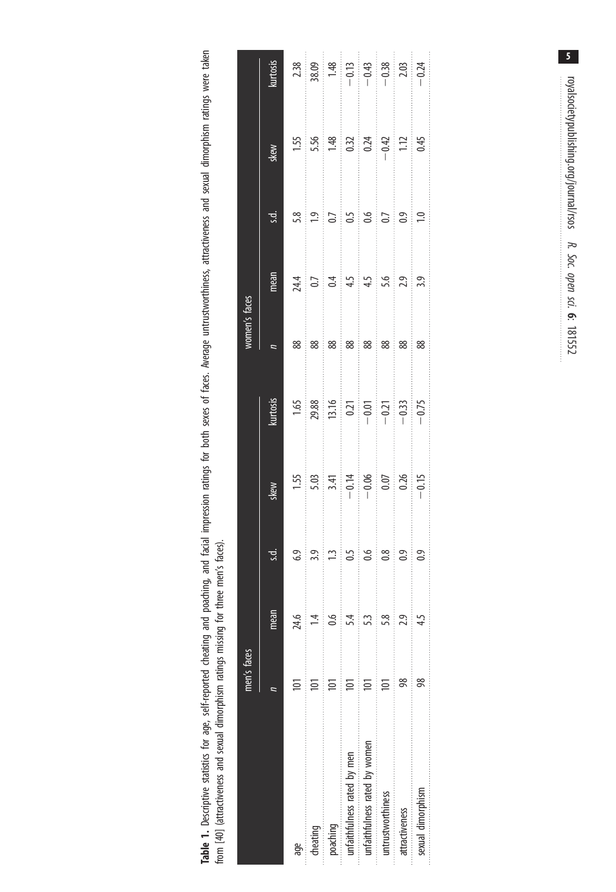<span id="page-4-0"></span>Table 1. Descriptive statistics for age, self-reported cheating and poaching, and facial impression ratings for both sexes of faces. Average untrustworthiness, attractiveness and sexual dimorphism ratings were taken<br>from [ Table 1. Descriptive statistics for age, self-reported cheating and poaching, and facial impression ratings for both sexes of faces. Average untrustworthiness, attractiveness and sexual dimorphism ratings were taken from [[40](#page-12-0)] (attractiveness and sexual dimorphism ratings missing for three men's faces).

|                                                                       | men's faces    |      |                 |                                                                                                     |                                                                                                   | women's faces |      |                             |                                                                                             |                                                                                                                                                   |
|-----------------------------------------------------------------------|----------------|------|-----------------|-----------------------------------------------------------------------------------------------------|---------------------------------------------------------------------------------------------------|---------------|------|-----------------------------|---------------------------------------------------------------------------------------------|---------------------------------------------------------------------------------------------------------------------------------------------------|
|                                                                       |                | mean |                 | skew                                                                                                | kurtosis                                                                                          |               | mean | s.d.                        | skew                                                                                        | kurtosis                                                                                                                                          |
| age                                                                   |                | 24.6 | C,              |                                                                                                     |                                                                                                   | 88            |      | 5.8                         |                                                                                             | $\begin{array}{r} 2.38 \\ 38.09 \\ 1.48 \\ -0.11 \\ -0.43 \\ -0.43 \\ -0.38 \\ -0.20 \\ -0.24 \\ -0.24 \\ -0.24 \\ -0.24 \\ -0.24 \\ \end{array}$ |
| cheating                                                              |                |      | $\frac{3.9}{ }$ | $\begin{array}{r} 1.55 \\ 5.03 \\ -3.41 \\ -0.14 \\ -0.06 \\ 0.07 \\ -0.15 \\ -0.15 \\ \end{array}$ | $\begin{array}{r} 1.65 \\ 29.88 \\ 13.16 \\ 0.21 \\ -0.01 \\ -0.21 \\ -0.33 \\ -0.33 \end{array}$ | $88\,$        |      | $\boxed{9}$                 | $\begin{array}{c c}\n 1.55 \\ 5.56 \\ -1.48 \\ 0.32 \\ 0.24 \\ -0.42 \\ 0.45\n \end{array}$ |                                                                                                                                                   |
| poaching                                                              |                |      | <u>: ದ</u>      |                                                                                                     |                                                                                                   | 88            |      |                             |                                                                                             |                                                                                                                                                   |
| unfaithfulness rated by men                                           | $\overline{a}$ | 5.4  | $\frac{1}{5}$   |                                                                                                     |                                                                                                   | းဆေး          |      | $\frac{5}{6}$ $\frac{5}{6}$ |                                                                                             |                                                                                                                                                   |
| unfaithfulness rated by women                                         | Ξ              | 53   | ్టిం            |                                                                                                     |                                                                                                   |               |      |                             |                                                                                             |                                                                                                                                                   |
| untrustworthiness                                                     | Ξ              |      | ္ပ္လံ           |                                                                                                     |                                                                                                   | <u>଼ି</u> କ   |      | $\frac{5}{0.5}$             |                                                                                             |                                                                                                                                                   |
| 医血管性脊髓炎 医尿道性 医耳氏反应 医皮肤性的 医血管性 医血管性血管 医血管性血清<br>attractiveness         |                | 2.9  | ് 9             |                                                                                                     |                                                                                                   | 88            |      |                             |                                                                                             |                                                                                                                                                   |
| 医尿性的 医皮肤性 医皮肤性 医生物 医血管 医单位 医血管 医血管血清 医血管性血管炎 医心包<br>sexual dimorphism |                |      | $\frac{3}{2}$   |                                                                                                     |                                                                                                   | ့် ဆွ         |      | $\frac{1}{2}$               |                                                                                             |                                                                                                                                                   |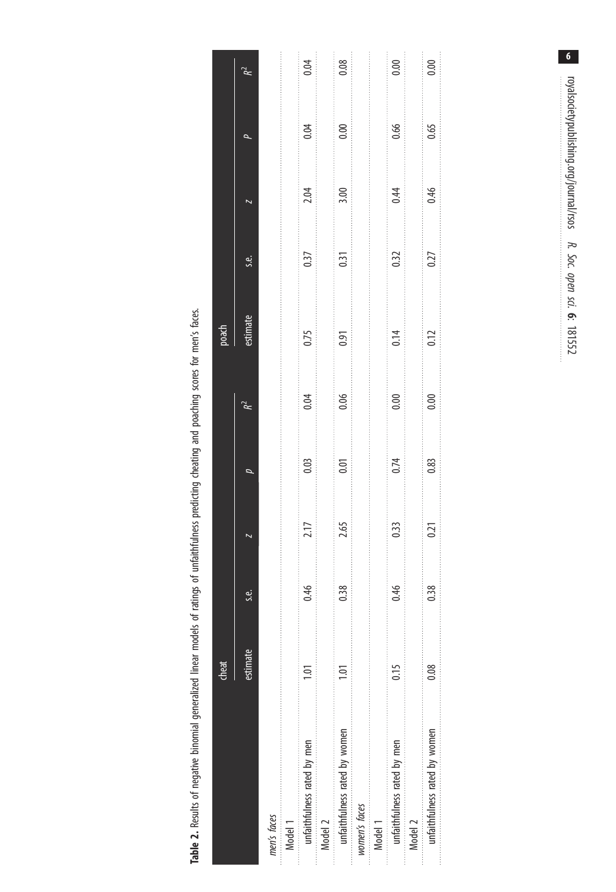Table 2. Results of negative binomial generalized linear models of ratings of unfaithfulness predicting cheating and poaching scores for men's faces. Table 2. Results of negative binomial generalized linear models of ratings of unfaithfulness predicting cheating and poaching scores for men's faces.

<span id="page-5-0"></span>

|                               | cheat             |         |                                                                     |           |                            | poach                                                                                               |                                    |                                                       |                           |                            |
|-------------------------------|-------------------|---------|---------------------------------------------------------------------|-----------|----------------------------|-----------------------------------------------------------------------------------------------------|------------------------------------|-------------------------------------------------------|---------------------------|----------------------------|
|                               | estimate          | نه<br>ن |                                                                     |           | ≈                          | estimate                                                                                            | s.e.                               |                                                       |                           | `à                         |
| men's faces                   |                   |         |                                                                     |           |                            |                                                                                                     |                                    |                                                       |                           |                            |
| Model 1                       |                   |         |                                                                     |           |                            | 1999年,1999年,1999年,1999年,1999年,1999年,1999年,1999年,1999年,1999年,1999年,1999年,1999年,1999年,1999年,1999年,199 |                                    |                                                       |                           |                            |
| unfaithfulness rated by men   | Ξ                 | 94.0    | 2.17                                                                | 0.03      | 0.04                       | 0.75                                                                                                | 0.37                               | 2.04                                                  | 0.04                      | 0.04                       |
| Model 2                       |                   |         | $\frac{1}{2}$                                                       |           | :<br>:<br>:<br>:<br>:      |                                                                                                     |                                    |                                                       | :<br>:<br>:<br>:<br>:     | $\frac{1}{2}$              |
| unfaithfulness rated by women | $\overline{1.01}$ | 0.38    | $\frac{1}{2}$<br>2.65                                               | .<br>0.01 | .<br>$\frac{1}{2}$<br>0.06 | 0.91                                                                                                | .<br>.<br>.<br>.<br>.<br>.<br>0.31 | :<br>:<br>:<br>3.00                                   | <br>$\frac{1}{2}$<br>0.00 | .<br>$\frac{1}{2}$<br>0.08 |
| women's faces                 |                   |         |                                                                     |           |                            |                                                                                                     |                                    |                                                       |                           |                            |
| Model 1                       |                   |         |                                                                     |           |                            |                                                                                                     |                                    |                                                       |                           |                            |
| unfaithfulness rated by men   | 0.15              | 0.46    | 0.33                                                                | 0.74      | :<br>:<br>:<br>0.00        | 0.14                                                                                                | 0.32                               | 0.44                                                  | 0.66                      | 0.00                       |
| Model 2                       |                   |         | $\begin{bmatrix} 1 & 1 & 1 \\ 1 & 1 & 1 \\ 1 & 1 & 1 \end{bmatrix}$ |           |                            | $\frac{1}{2}$                                                                                       | $\frac{1}{2}$                      | $\begin{bmatrix} 1 \\ 1 \\ 2 \\ 3 \\ 4 \end{bmatrix}$ | $\frac{1}{2}$             |                            |
| unfaithfulness rated by women | 0.08              | 0.38    | 0.21                                                                | 0.83      | 0.00                       | 0.12                                                                                                | 0.27                               | 0.46                                                  | 0.65                      | 0.00                       |
|                               |                   |         |                                                                     |           |                            |                                                                                                     |                                    |                                                       |                           |                            |

 $\overline{\mathbf{6}}$ orgalsocietypublishing.org/journal/rsos R. Soc. open sci. 6: 181552 royalsocietypublishing.org/journal/rsos R. Soc. open sci. <u>م</u>.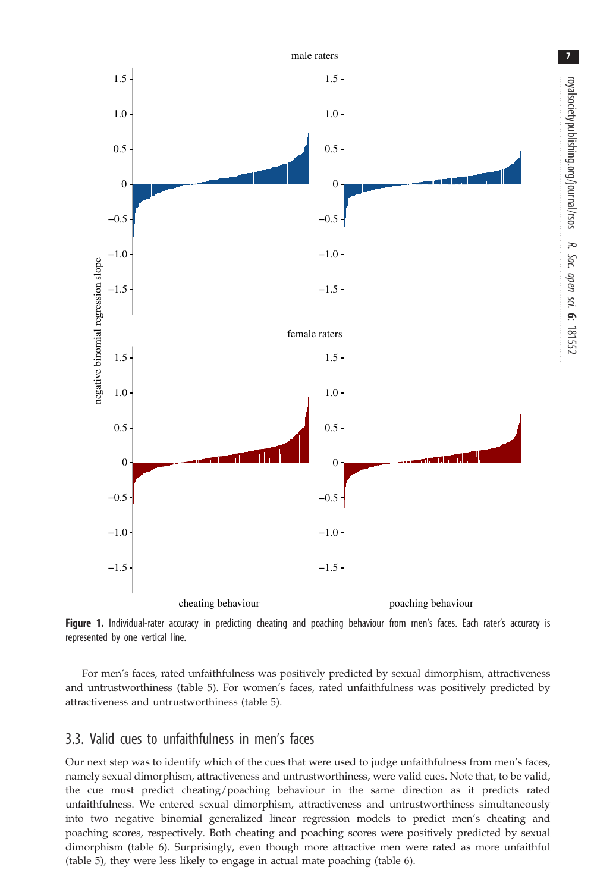<span id="page-6-0"></span>

royalsocietypublishing.org/journal/rsos

royalsocietypublishing.org/journal/rsos

7

R. Soc. opensci.

6: 181552

Figure 1. Individual-rater accuracy in predicting cheating and poaching behaviour from men's faces. Each rater's accuracy is represented by one vertical line.

For men's faces, rated unfaithfulness was positively predicted by sexual dimorphism, attractiveness and untrustworthiness ([table 5](#page-8-0)). For women's faces, rated unfaithfulness was positively predicted by attractiveness and untrustworthiness [\(table 5](#page-8-0)).

## 3.3. Valid cues to unfaithfulness in men's faces

Our next step was to identify which of the cues that were used to judge unfaithfulness from men's faces, namely sexual dimorphism, attractiveness and untrustworthiness, were valid cues. Note that, to be valid, the cue must predict cheating/poaching behaviour in the same direction as it predicts rated unfaithfulness. We entered sexual dimorphism, attractiveness and untrustworthiness simultaneously into two negative binomial generalized linear regression models to predict men's cheating and poaching scores, respectively. Both cheating and poaching scores were positively predicted by sexual dimorphism [\(table 6\)](#page-8-0). Surprisingly, even though more attractive men were rated as more unfaithful [\(table 5](#page-8-0)), they were less likely to engage in actual mate poaching [\(table 6](#page-8-0)).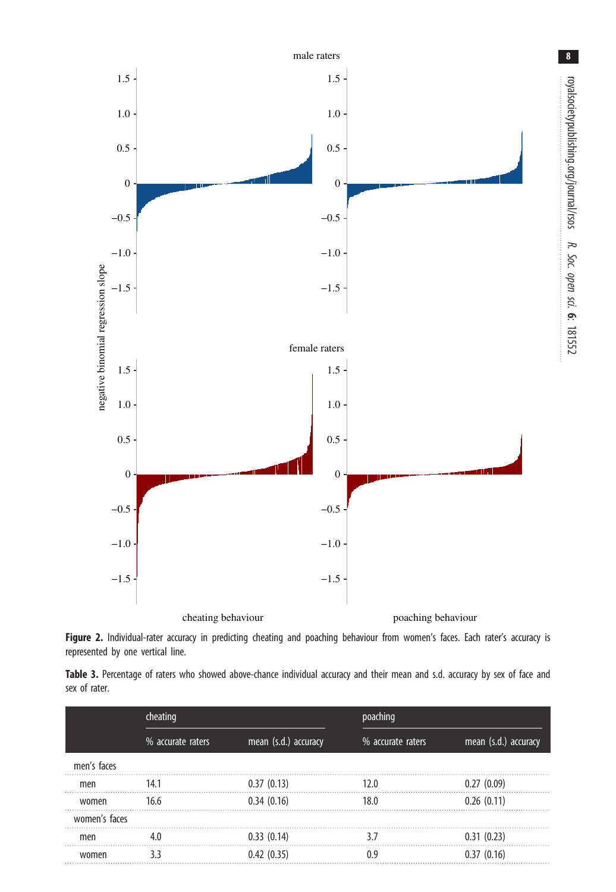<span id="page-7-0"></span>

royalsocietypublishing.org/journal/rsos

8

R. Soc. opensci.

6: 181552

Figure 2. Individual-rater accuracy in predicting cheating and poaching behaviour from women's faces. Each rater's accuracy is represented by one vertical line.

Table 3. Percentage of raters who showed above-chance individual accuracy and their mean and s.d. accuracy by sex of face and sex of rater.

|               | cheating          |                      | poaching          |                      |
|---------------|-------------------|----------------------|-------------------|----------------------|
|               | % accurate raters | mean (s.d.) accuracy | % accurate raters | mean (s.d.) accuracy |
| men's faces   |                   |                      |                   |                      |
| men           | 14.1              | 0.37(0.13)           | 120               | 0.27(0.09)           |
| women         | 16.6              | 0.34(0.16)           | 18.0              | 0.26(0.11)           |
| women's faces |                   |                      |                   |                      |
| men           | 4.0               | 0.33(0.14)           | 37                | 0.31(0.23)           |
| women         | २ २               | 0.42(0.35)           | Λq                | 0.37(0.16)           |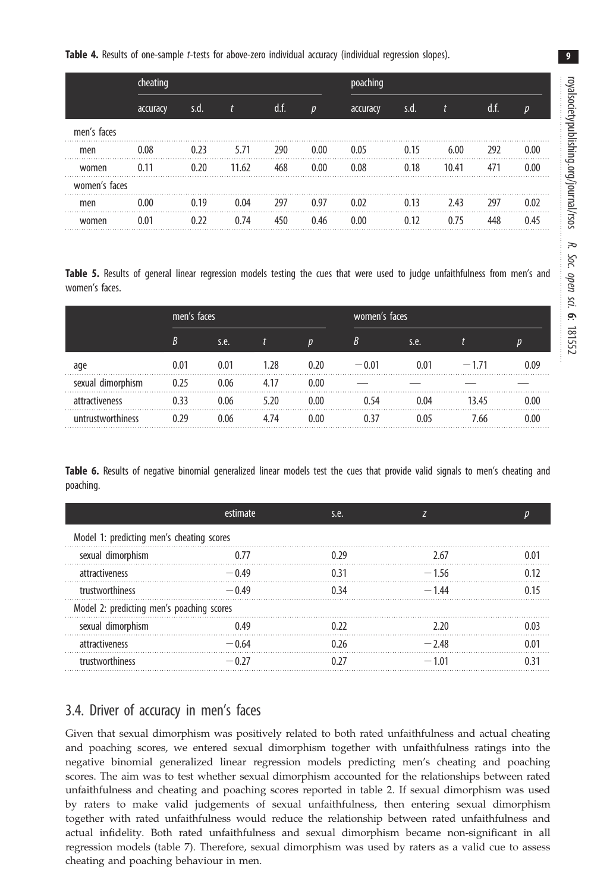<span id="page-8-0"></span>Table 4. Results of one-sample t-tests for above-zero individual accuracy (individual regression slopes).

|               | cheating |      |       |      |                  | poaching |      |       |      |      |
|---------------|----------|------|-------|------|------------------|----------|------|-------|------|------|
|               | accuracy | s.d. |       | d.f. | $\boldsymbol{p}$ | accuracy | s.d. |       | d.f. |      |
| men's faces   |          |      |       |      |                  |          |      |       |      |      |
| men           | 0.08     | 0.23 | 5.71  | 290  | 0.00             | 0.05     | 0.15 | 6.00  | 292  | 0.00 |
| women         |          | 0.20 | 11.62 | 468  | 0.00             | 0.08     | 0.18 | 10.41 | 471  | 0.00 |
| women's faces |          |      |       |      |                  |          |      |       |      |      |
| men           | 0.00     | 0 19 | 0.04  | 297  | 0.97             | 0.02     | 0.13 | 2.43  | 297  | 0.02 |
| women         |          | 0.22 | .74   | 450  | () 46            | 0.00     |      | በ 75  | 448  |      |

Table 5. Results of general linear regression models testing the cues that were used to judge unfaithfulness from men's and women's faces.

|                   | men's faces |      |      |      | women's faces |      |        |      |
|-------------------|-------------|------|------|------|---------------|------|--------|------|
|                   | R           | s.e. |      |      |               | s.e. |        |      |
| age               | 0.01        | 0.01 | 1.28 | 0.20 | $-0.01$       | ი ი1 | $-171$ | 0.09 |
| sexual dimorphism | 0.25        | 0.06 | 4.17 | 0.00 |               |      |        |      |
| attractiveness    | 0.33        | 0.06 | 5.20 | 0.00 | በ 54          | ገ በ4 | 13.45  | 0.00 |
| untrustworthiness | ) ጋዓ        | 0.06 | 4 74 | 0 OO |               |      | 7.66   | 0.00 |

Table 6. Results of negative binomial generalized linear models test the cues that provide valid signals to men's cheating and poaching.

|                                           | <b>estimate</b> | s.e. |         |  |
|-------------------------------------------|-----------------|------|---------|--|
| Model 1: predicting men's cheating scores |                 |      |         |  |
| sexual dimorphism                         |                 | በ ንዓ | 2.67    |  |
| attractiveness                            | $-0.49$         | 0.31 | $-1.56$ |  |
| trustworthiness                           | $-0.49$         | 0.34 | $-144$  |  |
| Model 2: predicting men's poaching scores |                 |      |         |  |
| sexual dimorphism                         |                 |      |         |  |
| attractiveness                            | $-0.64$         | በ ን6 | $-248$  |  |
| trustworthiness                           | $-0.27$         |      | $-1.01$ |  |

## 3.4. Driver of accuracy in men's faces

Given that sexual dimorphism was positively related to both rated unfaithfulness and actual cheating and poaching scores, we entered sexual dimorphism together with unfaithfulness ratings into the negative binomial generalized linear regression models predicting men's cheating and poaching scores. The aim was to test whether sexual dimorphism accounted for the relationships between rated unfaithfulness and cheating and poaching scores reported in [table 2](#page-5-0). If sexual dimorphism was used by raters to make valid judgements of sexual unfaithfulness, then entering sexual dimorphism together with rated unfaithfulness would reduce the relationship between rated unfaithfulness and actual infidelity. Both rated unfaithfulness and sexual dimorphism became non-significant in all regression models ([table 7\)](#page-9-0). Therefore, sexual dimorphism was used by raters as a valid cue to assess cheating and poaching behaviour in men.

9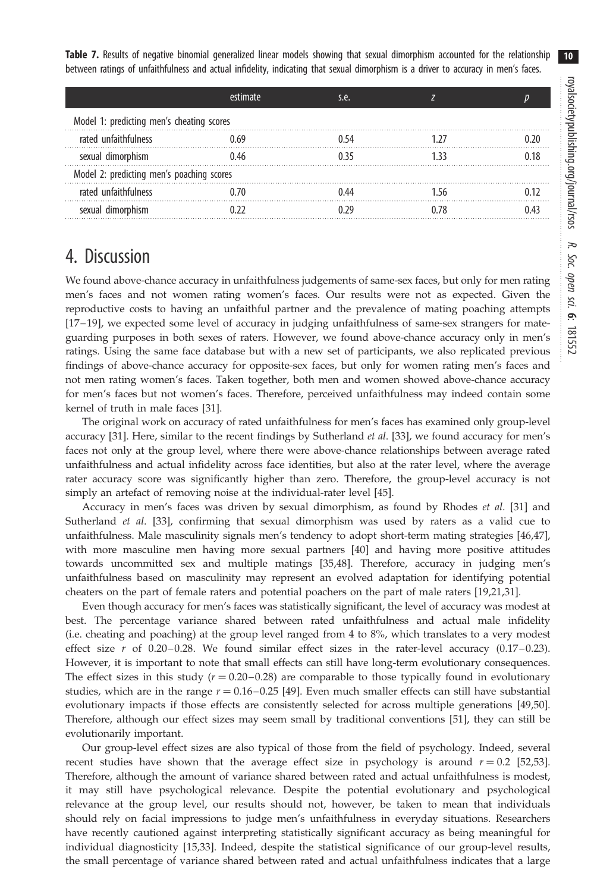<span id="page-9-0"></span>Table 7. Results of negative binomial generalized linear models showing that sexual dimorphism accounted for the relationship between ratings of unfaithfulness and actual infidelity, indicating that sexual dimorphism is a driver to accuracy in men's faces.

|                                           | <b>estimate</b> | s.e. |  |
|-------------------------------------------|-----------------|------|--|
| Model 1: predicting men's cheating scores |                 |      |  |
| rated unfaithfulness                      |                 |      |  |
| sexual dimorphism                         | በ 46            | በ 35 |  |
| Model 2: predicting men's poaching scores |                 |      |  |
| rated unfaithfulness                      | ነ 7በ            | 0.44 |  |
| sexual dimorphism                         |                 |      |  |

# 4. Discussion

We found above-chance accuracy in unfaithfulness judgements of same-sex faces, but only for men rating men's faces and not women rating women's faces. Our results were not as expected. Given the reproductive costs to having an unfaithful partner and the prevalence of mating poaching attempts [\[17](#page-11-0)– [19\]](#page-11-0), we expected some level of accuracy in judging unfaithfulness of same-sex strangers for mateguarding purposes in both sexes of raters. However, we found above-chance accuracy only in men's ratings. Using the same face database but with a new set of participants, we also replicated previous findings of above-chance accuracy for opposite-sex faces, but only for women rating men's faces and not men rating women's faces. Taken together, both men and women showed above-chance accuracy for men's faces but not women's faces. Therefore, perceived unfaithfulness may indeed contain some kernel of truth in male faces [\[31](#page-12-0)].

The original work on accuracy of rated unfaithfulness for men's faces has examined only group-level accuracy [\[31](#page-12-0)]. Here, similar to the recent findings by Sutherland *et al.* [[33\]](#page-12-0), we found accuracy for men's faces not only at the group level, where there were above-chance relationships between average rated unfaithfulness and actual infidelity across face identities, but also at the rater level, where the average rater accuracy score was significantly higher than zero. Therefore, the group-level accuracy is not simply an artefact of removing noise at the individual-rater level [[45\]](#page-12-0).

Accuracy in men's faces was driven by sexual dimorphism, as found by Rhodes et al. [\[31](#page-12-0)] and Sutherland et al. [\[33](#page-12-0)], confirming that sexual dimorphism was used by raters as a valid cue to unfaithfulness. Male masculinity signals men's tendency to adopt short-term mating strategies [\[46,47](#page-12-0)], with more masculine men having more sexual partners [[40\]](#page-12-0) and having more positive attitudes towards uncommitted sex and multiple matings [[35,48](#page-12-0)]. Therefore, accuracy in judging men's unfaithfulness based on masculinity may represent an evolved adaptation for identifying potential cheaters on the part of female raters and potential poachers on the part of male raters [\[19,21](#page-11-0),[31\]](#page-12-0).

Even though accuracy for men's faces was statistically significant, the level of accuracy was modest at best. The percentage variance shared between rated unfaithfulness and actual male infidelity (i.e. cheating and poaching) at the group level ranged from 4 to 8%, which translates to a very modest effect size  $r$  of 0.20–0.28. We found similar effect sizes in the rater-level accuracy (0.17–0.23). However, it is important to note that small effects can still have long-term evolutionary consequences. The effect sizes in this study  $(r = 0.20 - 0.28)$  are comparable to those typically found in evolutionary studies, which are in the range  $r = 0.16 - 0.25$  [\[49](#page-12-0)]. Even much smaller effects can still have substantial evolutionary impacts if those effects are consistently selected for across multiple generations [\[49,50](#page-12-0)]. Therefore, although our effect sizes may seem small by traditional conventions [[51\]](#page-12-0), they can still be evolutionarily important.

Our group-level effect sizes are also typical of those from the field of psychology. Indeed, several recent studies have shown that the average effect size in psychology is around  $r = 0.2$  [\[52,53](#page-12-0)]. Therefore, although the amount of variance shared between rated and actual unfaithfulness is modest, it may still have psychological relevance. Despite the potential evolutionary and psychological relevance at the group level, our results should not, however, be taken to mean that individuals should rely on facial impressions to judge men's unfaithfulness in everyday situations. Researchers have recently cautioned against interpreting statistically significant accuracy as being meaningful for individual diagnosticity [\[15](#page-11-0)[,33](#page-12-0)]. Indeed, despite the statistical significance of our group-level results, the small percentage of variance shared between rated and actual unfaithfulness indicates that a large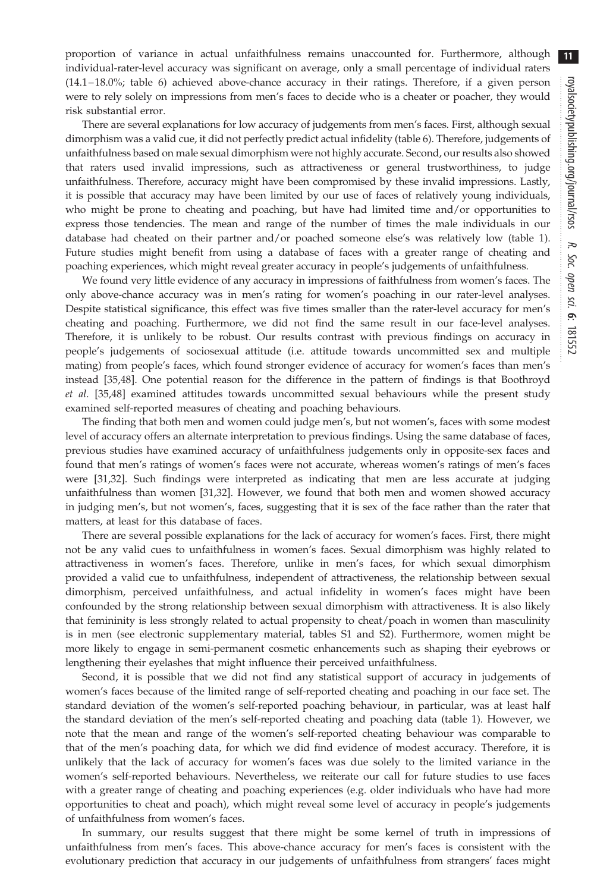$11$ 

proportion of variance in actual unfaithfulness remains unaccounted for. Furthermore, although individual-rater-level accuracy was significant on average, only a small percentage of individual raters (14.1– 18.0%; [table 6\)](#page-8-0) achieved above-chance accuracy in their ratings. Therefore, if a given person were to rely solely on impressions from men's faces to decide who is a cheater or poacher, they would risk substantial error.

There are several explanations for low accuracy of judgements from men's faces. First, although sexual dimorphism was a valid cue, it did not perfectly predict actual infidelity [\(table 6\)](#page-8-0). Therefore, judgements of unfaithfulness based on male sexual dimorphism were not highly accurate. Second, our results also showed that raters used invalid impressions, such as attractiveness or general trustworthiness, to judge unfaithfulness. Therefore, accuracy might have been compromised by these invalid impressions. Lastly, it is possible that accuracy may have been limited by our use of faces of relatively young individuals, who might be prone to cheating and poaching, but have had limited time and/or opportunities to express those tendencies. The mean and range of the number of times the male individuals in our database had cheated on their partner and/or poached someone else's was relatively low ([table 1](#page-4-0)). Future studies might benefit from using a database of faces with a greater range of cheating and poaching experiences, which might reveal greater accuracy in people's judgements of unfaithfulness.

We found very little evidence of any accuracy in impressions of faithfulness from women's faces. The only above-chance accuracy was in men's rating for women's poaching in our rater-level analyses. Despite statistical significance, this effect was five times smaller than the rater-level accuracy for men's cheating and poaching. Furthermore, we did not find the same result in our face-level analyses. Therefore, it is unlikely to be robust. Our results contrast with previous findings on accuracy in people's judgements of sociosexual attitude (i.e. attitude towards uncommitted sex and multiple mating) from people's faces, which found stronger evidence of accuracy for women's faces than men's instead [[35,48](#page-12-0)]. One potential reason for the difference in the pattern of findings is that Boothroyd et al. [\[35,48](#page-12-0)] examined attitudes towards uncommitted sexual behaviours while the present study examined self-reported measures of cheating and poaching behaviours.

The finding that both men and women could judge men's, but not women's, faces with some modest level of accuracy offers an alternate interpretation to previous findings. Using the same database of faces, previous studies have examined accuracy of unfaithfulness judgements only in opposite-sex faces and found that men's ratings of women's faces were not accurate, whereas women's ratings of men's faces were [[31,32\]](#page-12-0). Such findings were interpreted as indicating that men are less accurate at judging unfaithfulness than women [\[31](#page-12-0),[32\]](#page-12-0). However, we found that both men and women showed accuracy in judging men's, but not women's, faces, suggesting that it is sex of the face rather than the rater that matters, at least for this database of faces.

There are several possible explanations for the lack of accuracy for women's faces. First, there might not be any valid cues to unfaithfulness in women's faces. Sexual dimorphism was highly related to attractiveness in women's faces. Therefore, unlike in men's faces, for which sexual dimorphism provided a valid cue to unfaithfulness, independent of attractiveness, the relationship between sexual dimorphism, perceived unfaithfulness, and actual infidelity in women's faces might have been confounded by the strong relationship between sexual dimorphism with attractiveness. It is also likely that femininity is less strongly related to actual propensity to cheat/poach in women than masculinity is in men (see electronic supplementary material, tables S1 and S2). Furthermore, women might be more likely to engage in semi-permanent cosmetic enhancements such as shaping their eyebrows or lengthening their eyelashes that might influence their perceived unfaithfulness.

Second, it is possible that we did not find any statistical support of accuracy in judgements of women's faces because of the limited range of self-reported cheating and poaching in our face set. The standard deviation of the women's self-reported poaching behaviour, in particular, was at least half the standard deviation of the men's self-reported cheating and poaching data [\(table 1](#page-4-0)). However, we note that the mean and range of the women's self-reported cheating behaviour was comparable to that of the men's poaching data, for which we did find evidence of modest accuracy. Therefore, it is unlikely that the lack of accuracy for women's faces was due solely to the limited variance in the women's self-reported behaviours. Nevertheless, we reiterate our call for future studies to use faces with a greater range of cheating and poaching experiences (e.g. older individuals who have had more opportunities to cheat and poach), which might reveal some level of accuracy in people's judgements of unfaithfulness from women's faces.

In summary, our results suggest that there might be some kernel of truth in impressions of unfaithfulness from men's faces. This above-chance accuracy for men's faces is consistent with the evolutionary prediction that accuracy in our judgements of unfaithfulness from strangers' faces might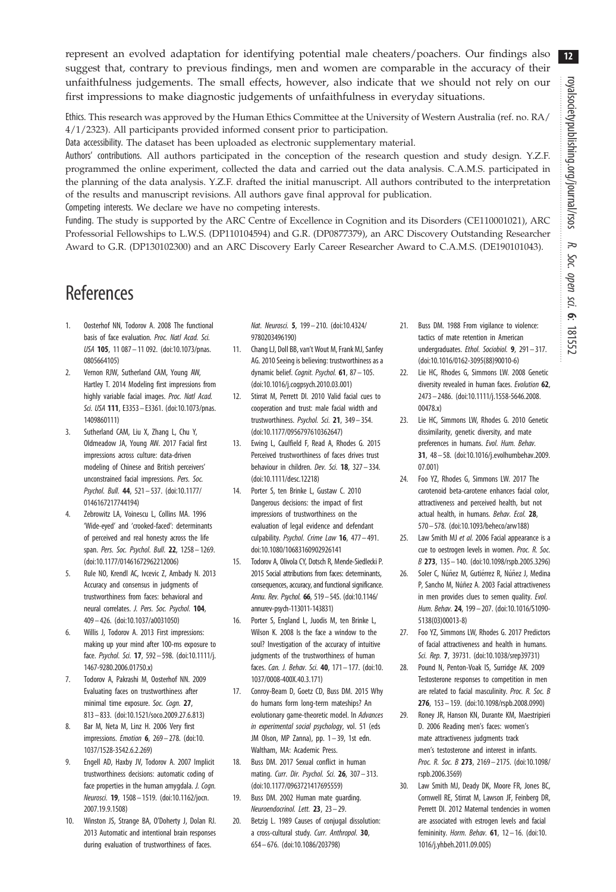<span id="page-11-0"></span>represent an evolved adaptation for identifying potential male cheaters/poachers. Our findings also suggest that, contrary to previous findings, men and women are comparable in the accuracy of their unfaithfulness judgements. The small effects, however, also indicate that we should not rely on our first impressions to make diagnostic judgements of unfaithfulness in everyday situations.

Ethics. This research was approved by the Human Ethics Committee at the University of Western Australia (ref. no. RA/ 4/1/2323). All participants provided informed consent prior to participation.

Data accessibility. The dataset has been uploaded as electronic supplementary material.

Authors' contributions. All authors participated in the conception of the research question and study design. Y.Z.F. programmed the online experiment, collected the data and carried out the data analysis. C.A.M.S. participated in the planning of the data analysis. Y.Z.F. drafted the initial manuscript. All authors contributed to the interpretation of the results and manuscript revisions. All authors gave final approval for publication.

Competing interests. We declare we have no competing interests.

Funding. The study is supported by the ARC Centre of Excellence in Cognition and its Disorders (CE110001021), ARC Professorial Fellowships to L.W.S. (DP110104594) and G.R. (DP0877379), an ARC Discovery Outstanding Researcher Award to G.R. (DP130102300) and an ARC Discovery Early Career Researcher Award to C.A.M.S. (DE190101043).

# References

- 1. Oosterhof NN, Todorov A. 2008 The functional basis of face evaluation. Proc. Natl Acad. Sci. USA 105, 11 087– 11 092. ([doi:10.1073/pnas.](http://dx.doi.org/10.1073/pnas.0805664105) [0805664105](http://dx.doi.org/10.1073/pnas.0805664105))
- 2. Vernon RJW, Sutherland CAM, Young AW, Hartley T. 2014 Modeling first impressions from highly variable facial images. Proc. Natl Acad. Sci. USA 111, E3353– E3361. [\(doi:10.1073/pnas.](http://dx.doi.org/10.1073/pnas.1409860111) [1409860111](http://dx.doi.org/10.1073/pnas.1409860111))
- 3. Sutherland CAM, Liu X, Zhang L, Chu Y, Oldmeadow JA, Young AW. 2017 Facial first impressions across culture: data-driven modeling of Chinese and British perceivers' unconstrained facial impressions. Pers. Soc. Psychol. Bull. 44, 521– 537. [\(doi:10.1177/](http://dx.doi.org/10.1177/0146167217744194) [0146167217744194](http://dx.doi.org/10.1177/0146167217744194))
- 4. Zebrowitz LA, Voinescu L, Collins MA. 1996 'Wide-eyed' and 'crooked-faced': determinants of perceived and real honesty across the life span. Pers. Soc. Psychol. Bull. 22, 1258-1269. ([doi:10.1177/01461672962212006\)](http://dx.doi.org/10.1177/01461672962212006)
- 5. Rule NO, Krendl AC, Ivcevic Z, Ambady N. 2013 Accuracy and consensus in judgments of trustworthiness from faces: behavioral and neural correlates. J. Pers. Soc. Psychol. 104, 409– 426. ([doi:10.1037/a0031050](http://dx.doi.org/10.1037/a0031050))
- 6. Willis J, Todorov A. 2013 First impressions: making up your mind after 100-ms exposure to face. Psychol. Sci. 17, 592– 598. [\(doi:10.1111/j.](http://dx.doi.org/10.1111/j.1467-9280.2006.01750.x) [1467-9280.2006.01750.x\)](http://dx.doi.org/10.1111/j.1467-9280.2006.01750.x)
- 7. Todorov A, Pakrashi M, Oosterhof NN. 2009 Evaluating faces on trustworthiness after minimal time exposure. Soc. Coan. 27, 813– 833. ([doi:10.1521/soco.2009.27.6.813\)](http://dx.doi.org/10.1521/soco.2009.27.6.813)
- 8. Bar M, Neta M, Linz H. 2006 Very first impressions. Emotion 6, 269– 278. ([doi:10.](http://dx.doi.org/10.1037/1528-3542.6.2.269) [1037/1528-3542.6.2.269](http://dx.doi.org/10.1037/1528-3542.6.2.269))
- 9. Engell AD, Haxby JV, Todorov A. 2007 Implicit trustworthiness decisions: automatic coding of face properties in the human amygdala. J. Cogn. Neurosci. 19, 1508 – 1519. [\(doi:10.1162/jocn.](http://dx.doi.org/10.1162/jocn.2007.19.9.1508) [2007.19.9.1508](http://dx.doi.org/10.1162/jocn.2007.19.9.1508))
- 10. Winston JS, Strange BA, O'Doherty J, Dolan RJ. 2013 Automatic and intentional brain responses during evaluation of trustworthiness of faces.

Nat. Neurosci. 5, 199– 210. [\(doi:10.4324/](http://dx.doi.org/10.4324/9780203496190) [9780203496190](http://dx.doi.org/10.4324/9780203496190))

- 11. Chang LJ, Doll BB, van't Wout M, Frank MJ, Sanfey AG. 2010 Seeing is believing: trustworthiness as a dynamic belief. Cognit. Psychol. 61, 87-105. ([doi:10.1016/j.cogpsych.2010.03.001\)](http://dx.doi.org/10.1016/j.cogpsych.2010.03.001)
- 12. Stirrat M, Perrett DI. 2010 Valid facial cues to cooperation and trust: male facial width and trustworthiness. Psychol. Sci. 21, 349– 354. ([doi:10.1177/0956797610362647\)](http://dx.doi.org/10.1177/0956797610362647)
- 13. Ewing L, Caulfield F, Read A, Rhodes G. 2015 Perceived trustworthiness of faces drives trust behaviour in children. Dev. Sci. 18, 327-334. ([doi:10.1111/desc.12218\)](http://dx.doi.org/10.1111/desc.12218)
- 14. Porter S, ten Brinke L, Gustaw C. 2010 Dangerous decisions: the impact of first impressions of trustworthiness on the evaluation of legal evidence and defendant culpability. Psychol. Crime Law 16, 477– 491. [doi:10.1080/10683160902926141](http://dx.doi.org/10.1080/10683160902926141)
- 15. Todorov A, Olivola CY, Dotsch R, Mende-Siedlecki P. 2015 Social attributions from faces: determinants, consequences, accuracy, and functional significance. Annu. Rev. Psychol. 66, 519–545. ([doi:10.1146/](http://dx.doi.org/10.1146/annurev-psych-113011-143831) [annurev-psych-113011-143831\)](http://dx.doi.org/10.1146/annurev-psych-113011-143831)
- 16. Porter S, England L, Juodis M, ten Brinke L, Wilson K. 2008 Is the face a window to the soul? Investigation of the accuracy of intuitive judgments of the trustworthiness of human faces. Can. J. Behav. Sci. 40, 171– 177. [\(doi:10.](http://dx.doi.org/10.1037/0008-400X.40.3.171) [1037/0008-400X.40.3.171\)](http://dx.doi.org/10.1037/0008-400X.40.3.171)
- 17. Conroy-Beam D, Goetz CD, Buss DM. 2015 Why do humans form long-term mateships? An evolutionary game-theoretic model. In Advances in experimental social psychology, vol. 51 (eds JM Olson, MP Zanna), pp. 1-39, 1st edn. Waltham, MA: Academic Press.
- 18. Buss DM. 2017 Sexual conflict in human mating. Curr. Dir. Psychol. Sci. 26, 307–313. ([doi:10.1177/0963721417695559\)](http://dx.doi.org/10.1177/0963721417695559)
- 19. Buss DM. 2002 Human mate guarding. Neuroendocrinol. Lett. 23, 23– 29.
- 20. Betzig L. 1989 Causes of conjugal dissolution: a cross-cultural study. Curr. Anthropol. 30, 654– 676. ([doi:10.1086/203798](http://dx.doi.org/10.1086/203798))
- 21. Buss DM. 1988 From vigilance to violence: tactics of mate retention in American undergraduates. Ethol. Sociobiol. 9, 291-317. [\(doi:10.1016/0162-3095\(88\)90010-6](http://dx.doi.org/10.1016/0162-3095(88)90010-6))
- 22. Lie HC, Rhodes G, Simmons LW. 2008 Genetic diversity revealed in human faces. Evolution 62, 2473 – 2486. [\(doi:10.1111/j.1558-5646.2008.](http://dx.doi.org/10.1111/j.1558-5646.2008.00478.x) [00478.x\)](http://dx.doi.org/10.1111/j.1558-5646.2008.00478.x)
- 23. Lie HC, Simmons LW, Rhodes G. 2010 Genetic dissimilarity, genetic diversity, and mate preferences in humans. Evol. Hum. Behav. 31, 48 – 58. ([doi:10.1016/j.evolhumbehav.2009.](http://dx.doi.org/10.1016/j.evolhumbehav.2009.07.001) [07.001](http://dx.doi.org/10.1016/j.evolhumbehav.2009.07.001))
- 24. Foo YZ, Rhodes G, Simmons LW. 2017 The carotenoid beta-carotene enhances facial color, attractiveness and perceived health, but not actual health, in humans. Behav. Ecol. 28, 570– 578. [\(doi:10.1093/beheco/arw188\)](http://dx.doi.org/10.1093/beheco/arw188)
- 25. Law Smith MJ et al. 2006 Facial appearance is a cue to oestrogen levels in women. Proc. R. Soc. B 273, 135– 140. ([doi:10.1098/rspb.2005.3296\)](http://dx.doi.org/10.1098/rspb.2005.3296)
- 26. Soler C, Núñez M, Gutiérrez R, Núñez J, Medina P, Sancho M, Núñez A. 2003 Facial attractiveness in men provides clues to semen quality. Evol. Hum. Behav. 24, 199– 207. ([doi:10.1016/S1090-](http://dx.doi.org/10.1016/S1090-5138(03)00013-8) [5138\(03\)00013-8](http://dx.doi.org/10.1016/S1090-5138(03)00013-8))
- 27. Foo YZ, Simmons LW, Rhodes G. 2017 Predictors of facial attractiveness and health in humans. Sci. Rep. 7, 39731. [\(doi:10.1038/srep39731\)](http://dx.doi.org/10.1038/srep39731)
- 28. Pound N, Penton-Voak IS, Surridge AK. 2009 Testosterone responses to competition in men are related to facial masculinity. Proc. R. Soc. B 276, 153– 159. ([doi:10.1098/rspb.2008.0990\)](http://dx.doi.org/10.1098/rspb.2008.0990)
- 29. Roney JR, Hanson KN, Durante KM, Maestripieri D. 2006 Reading men's faces: women's mate attractiveness judgments track men's testosterone and interest in infants. Proc. R. Soc. B 273, 2169-2175. ([doi:10.1098/](http://dx.doi.org/10.1098/rspb.2006.3569) [rspb.2006.3569\)](http://dx.doi.org/10.1098/rspb.2006.3569)
- 30. Law Smith MJ, Deady DK, Moore FR, Jones BC, Cornwell RE, Stirrat M, Lawson JF, Feinberg DR, Perrett DI. 2012 Maternal tendencies in women are associated with estrogen levels and facial femininity. Horm. Behav. 61, 12 – 16. ([doi:10.](http://dx.doi.org/10.1016/j.yhbeh.2011.09.005) [1016/j.yhbeh.2011.09.005](http://dx.doi.org/10.1016/j.yhbeh.2011.09.005))